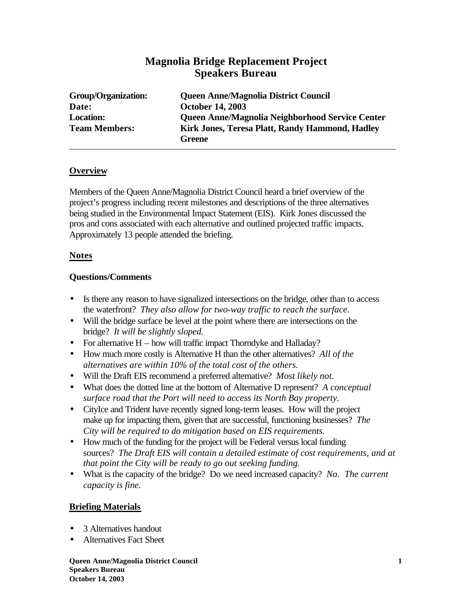# **Magnolia Bridge Replacement Project Speakers Bureau**

| <b>Group/Organization:</b> | <b>Queen Anne/Magnolia District Council</b>               |
|----------------------------|-----------------------------------------------------------|
| Date:                      | <b>October 14, 2003</b>                                   |
| <b>Location:</b>           | Queen Anne/Magnolia Neighborhood Service Center           |
| <b>Team Members:</b>       | Kirk Jones, Teresa Platt, Randy Hammond, Hadley<br>Greene |

### **Overview**

Members of the Queen Anne/Magnolia District Council heard a brief overview of the project's progress including recent milestones and descriptions of the three alternatives being studied in the Environmental Impact Statement (EIS). Kirk Jones discussed the pros and cons associated with each alternative and outlined projected traffic impacts. Approximately 13 people attended the briefing.

### **Notes**

### **Questions/Comments**

- Is there any reason to have signalized intersections on the bridge, other than to access the waterfront? *They also allow for two-way traffic to reach the surface.*
- Will the bridge surface be level at the point where there are intersections on the bridge? *It will be slightly sloped.*
- For alternative  $H how will traffic impact Thorndyke and Halladay?$
- How much more costly is Alternative H than the other alternatives? *All of the alternatives are within 10% of the total cost of the others.*
- Will the Draft EIS recommend a preferred alternative? *Most likely not.*
- What does the dotted line at the bottom of Alternative D represent? *A conceptual surface road that the Port will need to access its North Bay property.*
- CityIce and Trident have recently signed long-term leases. How will the project make up for impacting them, given that are successful, functioning businesses? *The City will be required to do mitigation based on EIS requirements.*
- How much of the funding for the project will be Federal versus local funding sources? *The Draft EIS will contain a detailed estimate of cost requirements, and at that point the City will be ready to go out seeking funding.*
- What is the capacity of the bridge? Do we need increased capacity? *No. The current capacity is fine.*

## **Briefing Materials**

- 3 Alternatives handout
- Alternatives Fact Sheet

**Queen Anne/Magnolia District Council 1 Speakers Bureau October 14, 2003**